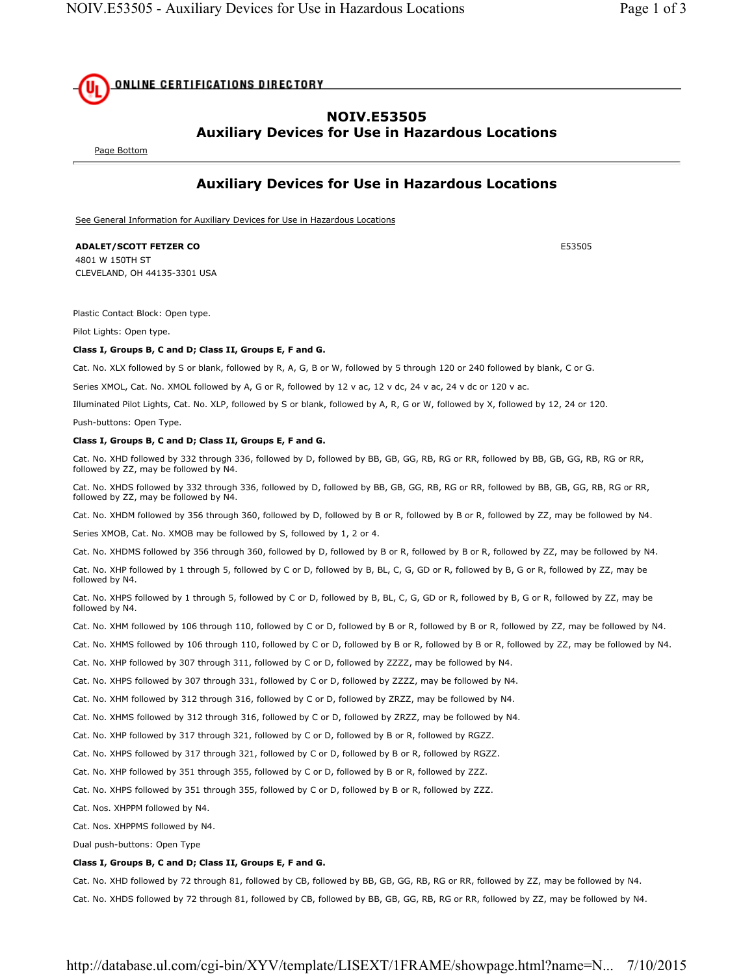# **ONLINE CERTIFICATIONS DIRECTORY**

## **NOIV.E53505 Auxiliary Devices for Use in Hazardous Locations**

Page Bottom

## **Auxiliary Devices for Use in Hazardous Locations**

See General Information for Auxiliary Devices for Use in Hazardous Locations

### **ADALET/SCOTT FETZER CO** E53505

4801 W 150TH ST CLEVELAND, OH 44135-3301 USA

Plastic Contact Block: Open type.

Pilot Lights: Open type.

#### **Class I, Groups B, C and D; Class II, Groups E, F and G.**

Cat. No. XLX followed by S or blank, followed by R, A, G, B or W, followed by 5 through 120 or 240 followed by blank, C or G.

Series XMOL, Cat. No. XMOL followed by A, G or R, followed by 12 v ac, 12 v dc, 24 v ac, 24 v dc or 120 v ac.

Illuminated Pilot Lights, Cat. No. XLP, followed by S or blank, followed by A, R, G or W, followed by X, followed by 12, 24 or 120.

Push-buttons: Open Type.

#### **Class I, Groups B, C and D; Class II, Groups E, F and G.**

Cat. No. XHD followed by 332 through 336, followed by D, followed by BB, GB, GG, RB, RG or RR, followed by BB, GB, GG, RB, RG or RR, followed by ZZ, may be followed by N4.

Cat. No. XHDS followed by 332 through 336, followed by D, followed by BB, GB, GG, RB, RG or RR, followed by BB, GB, GG, RB, RG or RR, followed by ZZ, may be followed by N4.

Cat. No. XHDM followed by 356 through 360, followed by D, followed by B or R, followed by B or R, followed by ZZ, may be followed by N4.

Series XMOB, Cat. No. XMOB may be followed by S, followed by 1, 2 or 4.

Cat. No. XHDMS followed by 356 through 360, followed by D, followed by B or R, followed by B or R, followed by ZZ, may be followed by N4.

Cat. No. XHP followed by 1 through 5, followed by C or D, followed by B, BL, C, G, GD or R, followed by B, G or R, followed by ZZ, may be followed by N4.

Cat. No. XHPS followed by 1 through 5, followed by C or D, followed by B, BL, C, G, GD or R, followed by B, G or R, followed by ZZ, may be followed by N4.

- Cat. No. XHM followed by 106 through 110, followed by C or D, followed by B or R, followed by B or R, followed by ZZ, may be followed by N4.
- Cat. No. XHMS followed by 106 through 110, followed by C or D, followed by B or R, followed by B or R, followed by ZZ, may be followed by N4.
- Cat. No. XHP followed by 307 through 311, followed by C or D, followed by ZZZZ, may be followed by N4.
- Cat. No. XHPS followed by 307 through 331, followed by C or D, followed by ZZZZ, may be followed by N4.
- Cat. No. XHM followed by 312 through 316, followed by C or D, followed by ZRZZ, may be followed by N4.
- Cat. No. XHMS followed by 312 through 316, followed by C or D, followed by ZRZZ, may be followed by N4.
- Cat. No. XHP followed by 317 through 321, followed by C or D, followed by B or R, followed by RGZZ.
- Cat. No. XHPS followed by 317 through 321, followed by C or D, followed by B or R, followed by RGZZ.
- Cat. No. XHP followed by 351 through 355, followed by C or D, followed by B or R, followed by ZZZ.
- Cat. No. XHPS followed by 351 through 355, followed by C or D, followed by B or R, followed by ZZZ.
- Cat. Nos. XHPPM followed by N4.
- Cat. Nos. XHPPMS followed by N4.

Dual push-buttons: Open Type

#### **Class I, Groups B, C and D; Class II, Groups E, F and G.**

Cat. No. XHD followed by 72 through 81, followed by CB, followed by BB, GB, GG, RB, RG or RR, followed by ZZ, may be followed by N4.

Cat. No. XHDS followed by 72 through 81, followed by CB, followed by BB, GB, GG, RB, RG or RR, followed by ZZ, may be followed by N4.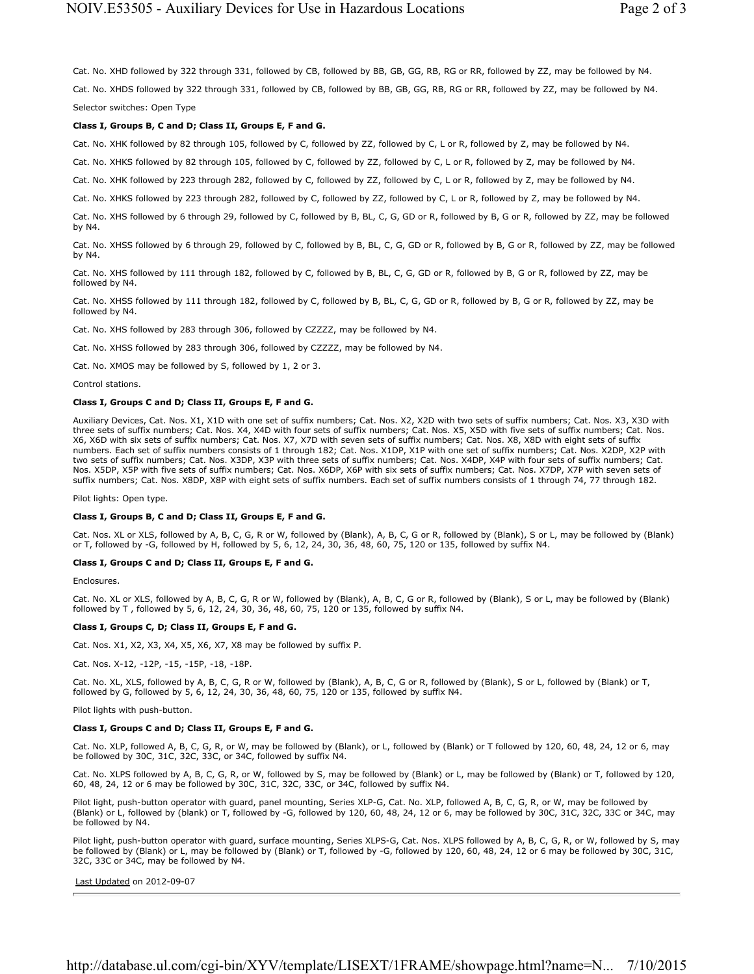Cat. No. XHD followed by 322 through 331, followed by CB, followed by BB, GB, GG, RB, RG or RR, followed by ZZ, may be followed by N4. Cat. No. XHDS followed by 322 through 331, followed by CB, followed by BB, GB, GG, RB, RG or RR, followed by ZZ, may be followed by N4. Selector switches: Open Type

#### **Class I, Groups B, C and D; Class II, Groups E, F and G.**

Cat. No. XHK followed by 82 through 105, followed by C, followed by ZZ, followed by C, L or R, followed by Z, may be followed by N4.

Cat. No. XHKS followed by 82 through 105, followed by C, followed by ZZ, followed by C, L or R, followed by Z, may be followed by N4.

Cat. No. XHK followed by 223 through 282, followed by C, followed by ZZ, followed by C, L or R, followed by Z, may be followed by N4.

Cat. No. XHKS followed by 223 through 282, followed by C, followed by ZZ, followed by C, L or R, followed by Z, may be followed by N4.

Cat. No. XHS followed by 6 through 29, followed by C, followed by B, BL, C, G, GD or R, followed by B, G or R, followed by ZZ, may be followed by N4.

Cat. No. XHSS followed by 6 through 29, followed by C, followed by B, BL, C, G, GD or R, followed by B, G or R, followed by ZZ, may be followed by N4.

Cat. No. XHS followed by 111 through 182, followed by C, followed by B, BL, C, G, GD or R, followed by B, G or R, followed by ZZ, may be followed by N4.

Cat. No. XHSS followed by 111 through 182, followed by C, followed by B, BL, C, G, GD or R, followed by B, G or R, followed by ZZ, may be followed by N4.

Cat. No. XHS followed by 283 through 306, followed by CZZZZ, may be followed by N4.

Cat. No. XHSS followed by 283 through 306, followed by CZZZZ, may be followed by N4.

Cat. No. XMOS may be followed by S, followed by 1, 2 or 3.

#### Control stations.

#### **Class I, Groups C and D; Class II, Groups E, F and G.**

Auxiliary Devices, Cat. Nos. X1, X1D with one set of suffix numbers; Cat. Nos. X2, X2D with two sets of suffix numbers; Cat. Nos. X3, X3D with three sets of suffix numbers; Cat. Nos. X4, X4D with four sets of suffix numbers; Cat. Nos. X5, X5D with five sets of suffix numbers; Cat. Nos. X6, X6D with six sets of suffix numbers; Cat. Nos. X7, X7D with seven sets of suffix numbers; Cat. Nos. X8, X8D with eight sets of suffix numbers. Each set of suffix numbers consists of 1 through 182; Cat. Nos. X1DP, X1P with one set of suffix numbers; Cat. Nos. X2DP, X2P with two sets of suffix numbers; Cat. Nos. X3DP, X3P with three sets of suffix numbers; Cat. Nos. X4DP, X4P with four sets of suffix numbers; Cat. Nos. X5DP, X5P with five sets of suffix numbers; Cat. Nos. X6DP, X6P with six sets of suffix numbers; Cat. Nos. X7DP, X7P with seven sets of suffix numbers; Cat. Nos. X8DP, X8P with eight sets of suffix numbers. Each set of suffix numbers consists of 1 through 74, 77 through 182.

Pilot lights: Open type.

#### **Class I, Groups B, C and D; Class II, Groups E, F and G.**

Cat. Nos. XL or XLS, followed by A, B, C, G, R or W, followed by (Blank), A, B, C, G or R, followed by (Blank), S or L, may be followed by (Blank) or T, followed by -G, followed by H, followed by 5, 6, 12, 24, 30, 36, 48, 60, 75, 120 or 135, followed by suffix N4.

#### **Class I, Groups C and D; Class II, Groups E, F and G.**

Enclosures.

Cat. No. XL or XLS, followed by A, B, C, G, R or W, followed by (Blank), A, B, C, G or R, followed by (Blank), S or L, may be followed by (Blank) followed by T , followed by 5, 6, 12, 24, 30, 36, 48, 60, 75, 120 or 135, followed by suffix N4.

#### **Class I, Groups C, D; Class II, Groups E, F and G.**

Cat. Nos. X1, X2, X3, X4, X5, X6, X7, X8 may be followed by suffix P.

Cat. Nos. X-12, -12P, -15, -15P, -18, -18P.

Cat. No. XL, XLS, followed by A, B, C, G, R or W, followed by (Blank), A, B, C, G or R, followed by (Blank), S or L, followed by (Blank) or T, followed by G, followed by 5, 6, 12, 24, 30, 36, 48, 60, 75, 120 or 135, followed by suffix N4.

Pilot lights with push-button.

#### **Class I, Groups C and D; Class II, Groups E, F and G.**

Cat. No. XLP, followed A, B, C, G, R, or W, may be followed by (Blank), or L, followed by (Blank) or T followed by 120, 60, 48, 24, 12 or 6, may be followed by 30C, 31C, 32C, 33C, or 34C, followed by suffix N4.

Cat. No. XLPS followed by A, B, C, G, R, or W, followed by S, may be followed by (Blank) or L, may be followed by (Blank) or T, followed by 120, 60, 48, 24, 12 or 6 may be followed by 30C, 31C, 32C, 33C, or 34C, followed by suffix N4.

Pilot light, push-button operator with guard, panel mounting, Series XLP-G, Cat. No. XLP, followed A, B, C, G, R, or W, may be followed by (Blank) or L, followed by (blank) or T, followed by -G, followed by 120, 60, 48, 24, 12 or 6, may be followed by 30C, 31C, 32C, 33C or 34C, may be followed by N4.

Pilot light, push-button operator with guard, surface mounting, Series XLPS-G, Cat. Nos. XLPS followed by A, B, C, G, R, or W, followed by S, may be followed by (Blank) or L, may be followed by (Blank) or T, followed by -G, followed by 120, 60, 48, 24, 12 or 6 may be followed by 30C, 31C, 32C, 33C or 34C, may be followed by N4.

Last Updated on 2012-09-07